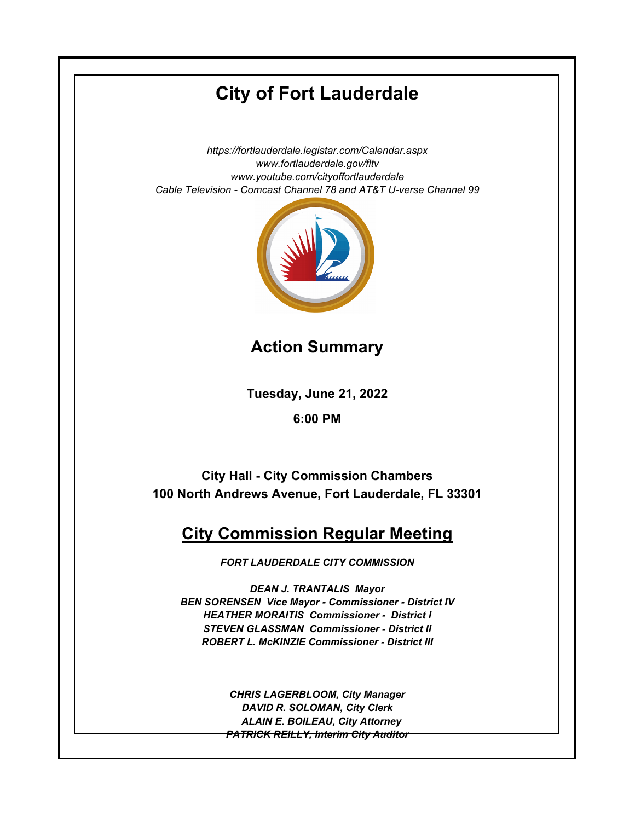# **City of Fort Lauderdale**

*https://fortlauderdale.legistar.com/Calendar.aspx www.fortlauderdale.gov/fltv www.youtube.com/cityoffortlauderdale Cable Television - Comcast Channel 78 and AT&T U-verse Channel 99*



**Action Summary**

**Tuesday, June 21, 2022**

**6:00 PM**

**City Hall - City Commission Chambers 100 North Andrews Avenue, Fort Lauderdale, FL 33301**

## **City Commission Regular Meeting**

*FORT LAUDERDALE CITY COMMISSION*

*DEAN J. TRANTALIS Mayor BEN SORENSEN Vice Mayor - Commissioner - District IV HEATHER MORAITIS Commissioner - District I STEVEN GLASSMAN Commissioner - District II ROBERT L. McKINZIE Commissioner - District III*

> *CHRIS LAGERBLOOM, City Manager DAVID R. SOLOMAN, City Clerk ALAIN E. BOILEAU, City Attorney PATRICK REILLY, Interim City Auditor*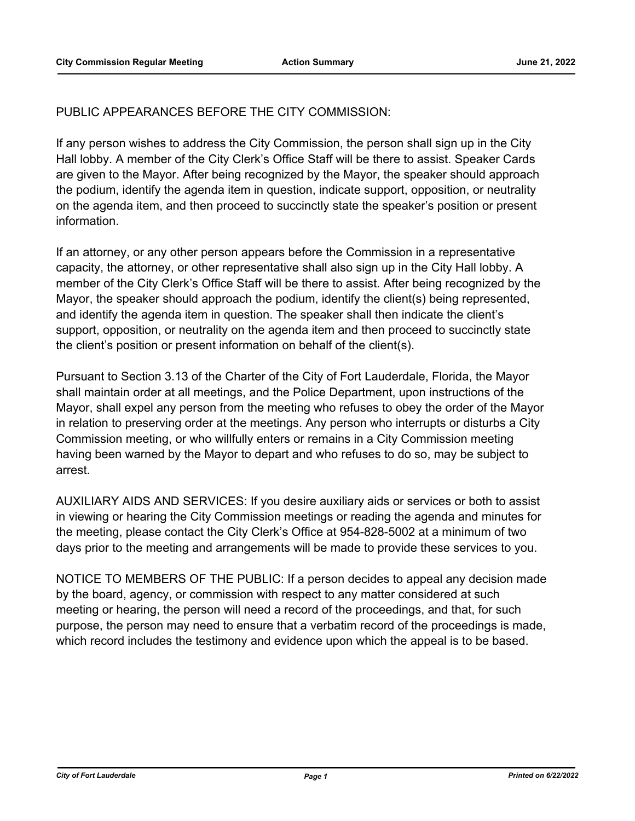## PUBLIC APPEARANCES BEFORE THE CITY COMMISSION:

If any person wishes to address the City Commission, the person shall sign up in the City Hall lobby. A member of the City Clerk's Office Staff will be there to assist. Speaker Cards are given to the Mayor. After being recognized by the Mayor, the speaker should approach the podium, identify the agenda item in question, indicate support, opposition, or neutrality on the agenda item, and then proceed to succinctly state the speaker's position or present information.

If an attorney, or any other person appears before the Commission in a representative capacity, the attorney, or other representative shall also sign up in the City Hall lobby. A member of the City Clerk's Office Staff will be there to assist. After being recognized by the Mayor, the speaker should approach the podium, identify the client(s) being represented, and identify the agenda item in question. The speaker shall then indicate the client's support, opposition, or neutrality on the agenda item and then proceed to succinctly state the client's position or present information on behalf of the client(s).

Pursuant to Section 3.13 of the Charter of the City of Fort Lauderdale, Florida, the Mayor shall maintain order at all meetings, and the Police Department, upon instructions of the Mayor, shall expel any person from the meeting who refuses to obey the order of the Mayor in relation to preserving order at the meetings. Any person who interrupts or disturbs a City Commission meeting, or who willfully enters or remains in a City Commission meeting having been warned by the Mayor to depart and who refuses to do so, may be subject to arrest.

AUXILIARY AIDS AND SERVICES: If you desire auxiliary aids or services or both to assist in viewing or hearing the City Commission meetings or reading the agenda and minutes for the meeting, please contact the City Clerk's Office at 954-828-5002 at a minimum of two days prior to the meeting and arrangements will be made to provide these services to you.

NOTICE TO MEMBERS OF THE PUBLIC: If a person decides to appeal any decision made by the board, agency, or commission with respect to any matter considered at such meeting or hearing, the person will need a record of the proceedings, and that, for such purpose, the person may need to ensure that a verbatim record of the proceedings is made, which record includes the testimony and evidence upon which the appeal is to be based.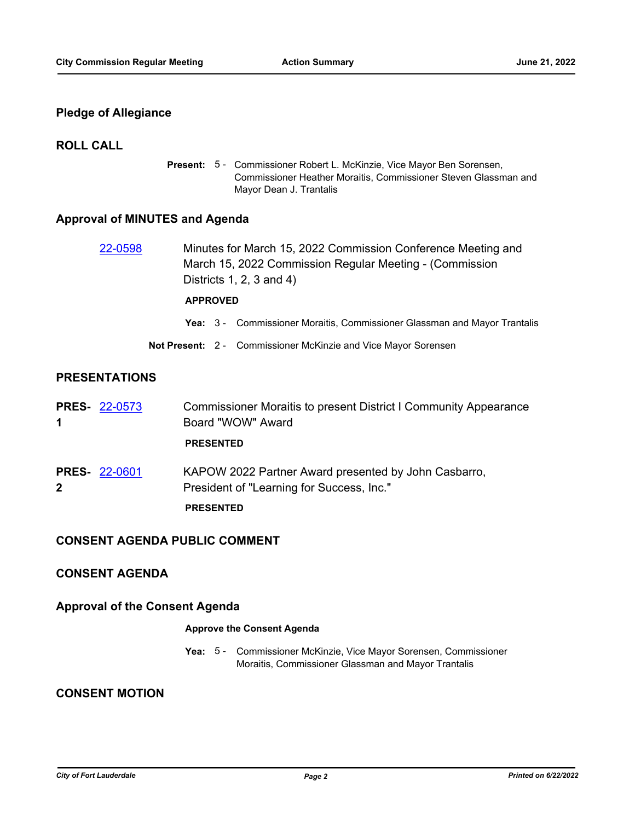## **Pledge of Allegiance**

## **ROLL CALL**

Present: 5 - Commissioner Robert L. McKinzie, Vice Mayor Ben Sorensen, Commissioner Heather Moraitis, Commissioner Steven Glassman and Mayor Dean J. Trantalis

## **Approval of MINUTES and Agenda**

| 22-0598 | Minutes for March 15, 2022 Commission Conference Meeting and |
|---------|--------------------------------------------------------------|
|         | March 15, 2022 Commission Regular Meeting - (Commission      |
|         | Districts 1, 2, 3 and 4)                                     |
|         |                                                              |

#### **APPROVED**

- **Yea:** 3 Commissioner Moraitis, Commissioner Glassman and Mayor Trantalis
- **Not Present:** 2 Commissioner McKinzie and Vice Mayor Sorensen

## **PRESENTATIONS**

| 1            | <b>PRES- 22-0573</b> | Commissioner Moraitis to present District I Community Appearance<br>Board "WOW" Award             |
|--------------|----------------------|---------------------------------------------------------------------------------------------------|
|              |                      | <b>PRESENTED</b>                                                                                  |
| $\mathbf{2}$ | <b>PRES- 22-0601</b> | KAPOW 2022 Partner Award presented by John Casbarro,<br>President of "Learning for Success, Inc." |
|              |                      | <b>PRESENTED</b>                                                                                  |

#### **CONSENT AGENDA PUBLIC COMMENT**

## **CONSENT AGENDA**

## **Approval of the Consent Agenda**

#### **Approve the Consent Agenda**

Yea: 5 - Commissioner McKinzie, Vice Mayor Sorensen, Commissioner Moraitis, Commissioner Glassman and Mayor Trantalis

## **CONSENT MOTION**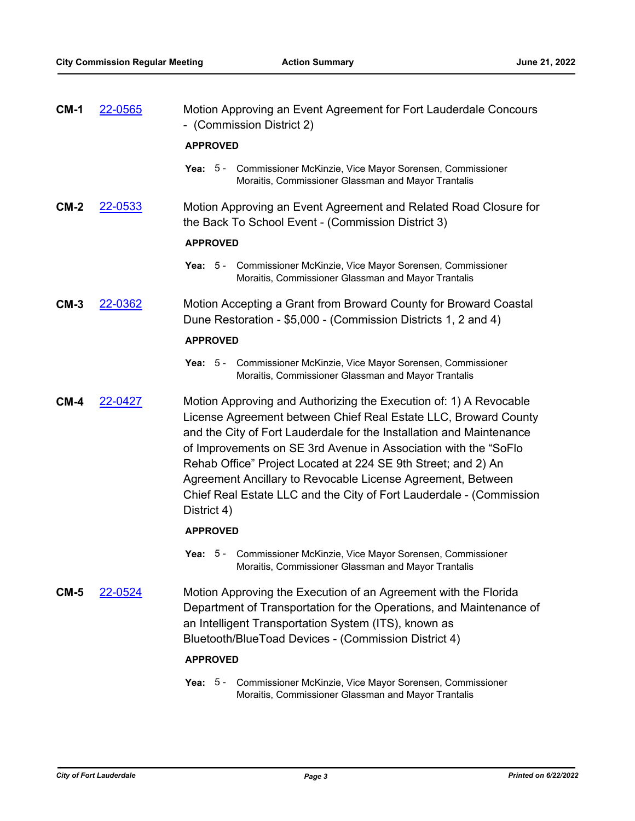| $CM-1$ | <u>22-0565</u> | Motion Approving an Event Agreement for Fort Lauderdale Concours<br>- (Commission District 2)                                                                                                                                                                                                                                                                                                                                                                                                         |
|--------|----------------|-------------------------------------------------------------------------------------------------------------------------------------------------------------------------------------------------------------------------------------------------------------------------------------------------------------------------------------------------------------------------------------------------------------------------------------------------------------------------------------------------------|
|        |                | <b>APPROVED</b>                                                                                                                                                                                                                                                                                                                                                                                                                                                                                       |
|        |                | Yea: 5 - Commissioner McKinzie, Vice Mayor Sorensen, Commissioner<br>Moraitis, Commissioner Glassman and Mayor Trantalis                                                                                                                                                                                                                                                                                                                                                                              |
| $CM-2$ | 22-0533        | Motion Approving an Event Agreement and Related Road Closure for<br>the Back To School Event - (Commission District 3)                                                                                                                                                                                                                                                                                                                                                                                |
|        |                | <b>APPROVED</b>                                                                                                                                                                                                                                                                                                                                                                                                                                                                                       |
|        |                | Yea: 5 - Commissioner McKinzie, Vice Mayor Sorensen, Commissioner<br>Moraitis, Commissioner Glassman and Mayor Trantalis                                                                                                                                                                                                                                                                                                                                                                              |
| $CM-3$ | 22-0362        | Motion Accepting a Grant from Broward County for Broward Coastal<br>Dune Restoration - \$5,000 - (Commission Districts 1, 2 and 4)                                                                                                                                                                                                                                                                                                                                                                    |
|        |                | <b>APPROVED</b>                                                                                                                                                                                                                                                                                                                                                                                                                                                                                       |
|        |                | Yea: 5 - Commissioner McKinzie, Vice Mayor Sorensen, Commissioner<br>Moraitis, Commissioner Glassman and Mayor Trantalis                                                                                                                                                                                                                                                                                                                                                                              |
| $CM-4$ | 22-0427        | Motion Approving and Authorizing the Execution of: 1) A Revocable<br>License Agreement between Chief Real Estate LLC, Broward County<br>and the City of Fort Lauderdale for the Installation and Maintenance<br>of Improvements on SE 3rd Avenue in Association with the "SoFlo<br>Rehab Office" Project Located at 224 SE 9th Street; and 2) An<br>Agreement Ancillary to Revocable License Agreement, Between<br>Chief Real Estate LLC and the City of Fort Lauderdale - (Commission<br>District 4) |
|        |                | <b>APPROVED</b>                                                                                                                                                                                                                                                                                                                                                                                                                                                                                       |
|        |                | Yea: 5 - Commissioner McKinzie, Vice Mayor Sorensen, Commissioner<br>Moraitis, Commissioner Glassman and Mayor Trantalis                                                                                                                                                                                                                                                                                                                                                                              |
| $CM-5$ | <u>22-0524</u> | Motion Approving the Execution of an Agreement with the Florida<br>Department of Transportation for the Operations, and Maintenance of<br>an Intelligent Transportation System (ITS), known as<br>Bluetooth/BlueToad Devices - (Commission District 4)                                                                                                                                                                                                                                                |
|        |                | <b>APPROVED</b>                                                                                                                                                                                                                                                                                                                                                                                                                                                                                       |
|        |                | Commissioner McKinzie, Vice Mayor Sorensen, Commissioner<br>Yea: $5-$<br>Moraitis, Commissioner Glassman and Mayor Trantalis                                                                                                                                                                                                                                                                                                                                                                          |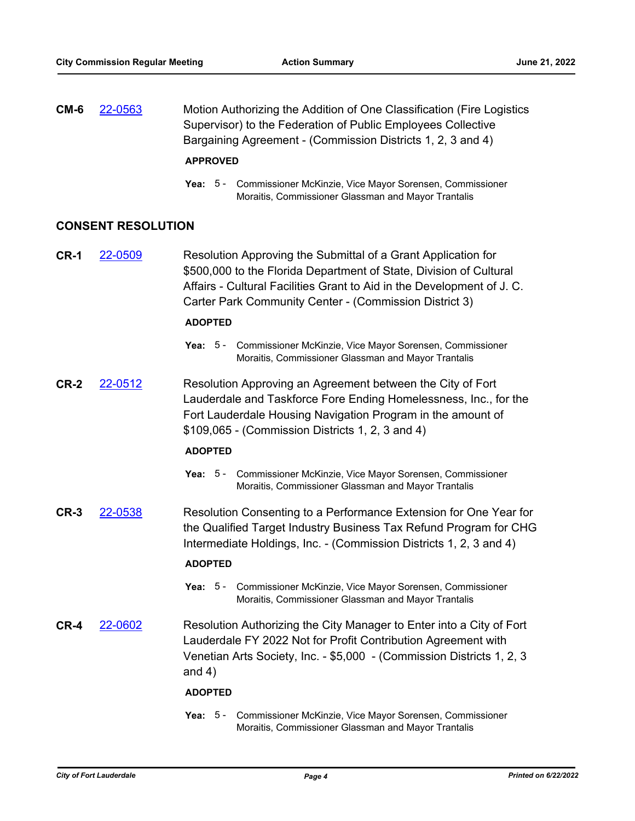| $CM-6$ | 22-0563 | Motion Authorizing the Addition of One Classification (Fire Logistics |
|--------|---------|-----------------------------------------------------------------------|
|        |         | Supervisor) to the Federation of Public Employees Collective          |
|        |         | Bargaining Agreement - (Commission Districts 1, 2, 3 and 4)           |
|        |         |                                                                       |

#### **APPROVED**

Yea: 5 - Commissioner McKinzie, Vice Mayor Sorensen, Commissioner Moraitis, Commissioner Glassman and Mayor Trantalis

#### **CONSENT RESOLUTION**

**CR-1** [22-0509](http://fortlauderdale.legistar.com/gateway.aspx?m=l&id=/matter.aspx?key=16629) Resolution Approving the Submittal of a Grant Application for \$500,000 to the Florida Department of State, Division of Cultural Affairs - Cultural Facilities Grant to Aid in the Development of J. C. Carter Park Community Center - (Commission District 3)

#### **ADOPTED**

- Yea: 5 Commissioner McKinzie, Vice Mayor Sorensen, Commissioner Moraitis, Commissioner Glassman and Mayor Trantalis
- **CR-2** [22-0512](http://fortlauderdale.legistar.com/gateway.aspx?m=l&id=/matter.aspx?key=16632) Resolution Approving an Agreement between the City of Fort Lauderdale and Taskforce Fore Ending Homelessness, Inc., for the Fort Lauderdale Housing Navigation Program in the amount of \$109,065 - (Commission Districts 1, 2, 3 and 4)

#### **ADOPTED**

- Yea: 5 Commissioner McKinzie, Vice Mayor Sorensen, Commissioner Moraitis, Commissioner Glassman and Mayor Trantalis
- **CR-3** [22-0538](http://fortlauderdale.legistar.com/gateway.aspx?m=l&id=/matter.aspx?key=16658) Resolution Consenting to a Performance Extension for One Year for the Qualified Target Industry Business Tax Refund Program for CHG Intermediate Holdings, Inc. - (Commission Districts 1, 2, 3 and 4)

#### **ADOPTED**

- Yea: 5 Commissioner McKinzie, Vice Mayor Sorensen, Commissioner Moraitis, Commissioner Glassman and Mayor Trantalis
- **CR-4** [22-0602](http://fortlauderdale.legistar.com/gateway.aspx?m=l&id=/matter.aspx?key=16722) Resolution Authorizing the City Manager to Enter into a City of Fort Lauderdale FY 2022 Not for Profit Contribution Agreement with Venetian Arts Society, Inc. - \$5,000 - (Commission Districts 1, 2, 3 and 4)

#### **ADOPTED**

Yea: 5 - Commissioner McKinzie, Vice Mayor Sorensen, Commissioner Moraitis, Commissioner Glassman and Mayor Trantalis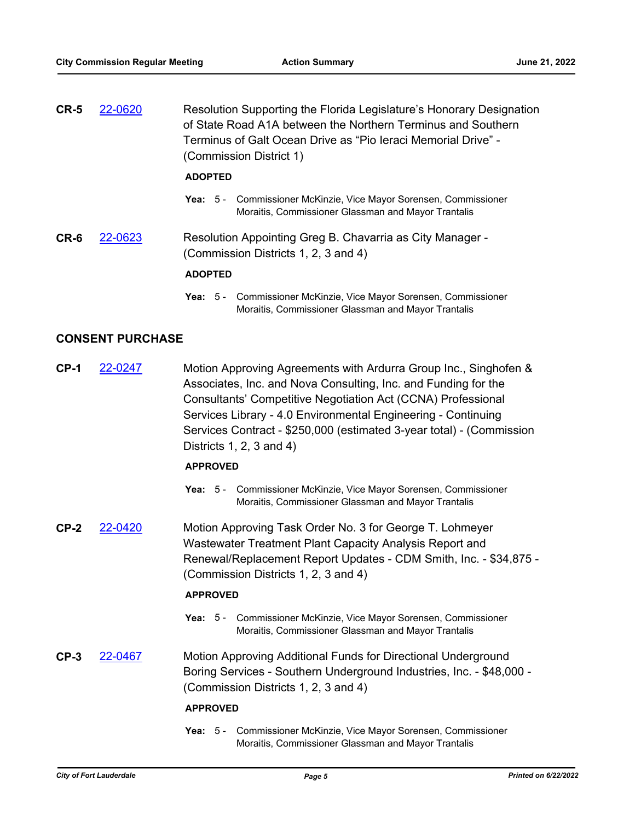| $CR-5$ | 22-0620 | Resolution Supporting the Florida Legislature's Honorary Designation<br>of State Road A1A between the Northern Terminus and Southern<br>Terminus of Galt Ocean Drive as "Pio Ieraci Memorial Drive" -<br>(Commission District 1) |
|--------|---------|----------------------------------------------------------------------------------------------------------------------------------------------------------------------------------------------------------------------------------|
|        |         | <b>ADOPTED</b>                                                                                                                                                                                                                   |
|        |         | Yea: 5 - Commissioner McKinzie, Vice Mayor Sorensen, Commissioner<br>Moraitis, Commissioner Glassman and Mayor Trantalis                                                                                                         |
| CR-6   | 22-0623 | Resolution Appointing Greg B. Chavarria as City Manager -<br>(Commission Districts 1, 2, 3 and 4)                                                                                                                                |
|        |         | <b>ADOPTED</b>                                                                                                                                                                                                                   |

Yea: 5 - Commissioner McKinzie, Vice Mayor Sorensen, Commissioner Moraitis, Commissioner Glassman and Mayor Trantalis

### **CONSENT PURCHASE**

**CP-1** [22-0247](http://fortlauderdale.legistar.com/gateway.aspx?m=l&id=/matter.aspx?key=16367) Motion Approving Agreements with Ardurra Group Inc., Singhofen & Associates, Inc. and Nova Consulting, Inc. and Funding for the Consultants' Competitive Negotiation Act (CCNA) Professional Services Library - 4.0 Environmental Engineering - Continuing Services Contract - \$250,000 (estimated 3-year total) - (Commission Districts 1, 2, 3 and 4)

#### **APPROVED**

- Yea: 5 Commissioner McKinzie, Vice Mayor Sorensen, Commissioner Moraitis, Commissioner Glassman and Mayor Trantalis
- **CP-2** [22-0420](http://fortlauderdale.legistar.com/gateway.aspx?m=l&id=/matter.aspx?key=16540) Motion Approving Task Order No. 3 for George T. Lohmeyer Wastewater Treatment Plant Capacity Analysis Report and Renewal/Replacement Report Updates - CDM Smith, Inc. - \$34,875 - (Commission Districts 1, 2, 3 and 4)

#### **APPROVED**

- Yea: 5 Commissioner McKinzie, Vice Mayor Sorensen, Commissioner Moraitis, Commissioner Glassman and Mayor Trantalis
- **CP-3** [22-0467](http://fortlauderdale.legistar.com/gateway.aspx?m=l&id=/matter.aspx?key=16587) Motion Approving Additional Funds for Directional Underground Boring Services - Southern Underground Industries, Inc. - \$48,000 - (Commission Districts 1, 2, 3 and 4)

#### **APPROVED**

Yea: 5 - Commissioner McKinzie, Vice Mayor Sorensen, Commissioner Moraitis, Commissioner Glassman and Mayor Trantalis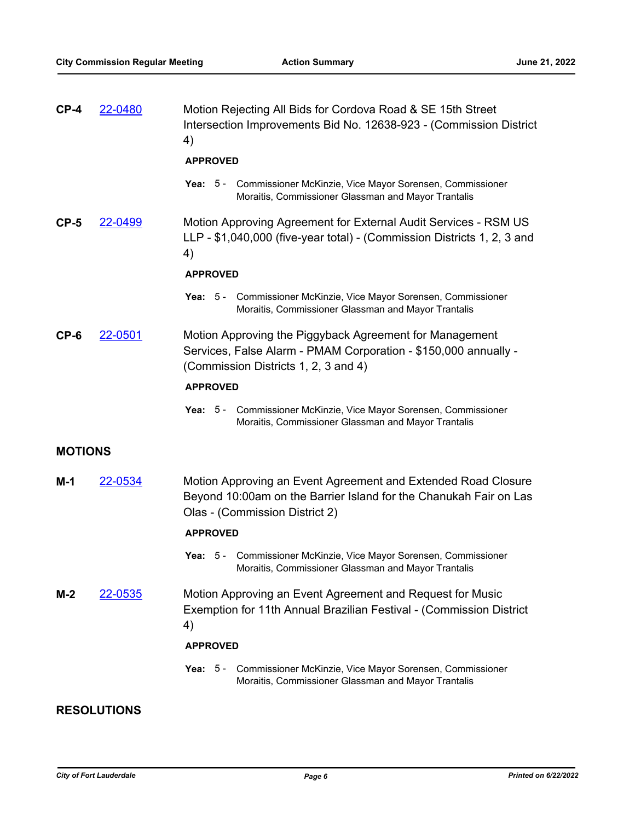| $CP-4$         | 22-0480            | Motion Rejecting All Bids for Cordova Road & SE 15th Street<br>Intersection Improvements Bid No. 12638-923 - (Commission District<br>4)                              |
|----------------|--------------------|----------------------------------------------------------------------------------------------------------------------------------------------------------------------|
|                |                    | <b>APPROVED</b>                                                                                                                                                      |
|                |                    | Yea: 5 - Commissioner McKinzie, Vice Mayor Sorensen, Commissioner<br>Moraitis, Commissioner Glassman and Mayor Trantalis                                             |
| $CP-5$         | 22-0499            | Motion Approving Agreement for External Audit Services - RSM US<br>LLP - \$1,040,000 (five-year total) - (Commission Districts 1, 2, 3 and<br>4)                     |
|                |                    | <b>APPROVED</b>                                                                                                                                                      |
|                |                    | Yea: 5 - Commissioner McKinzie, Vice Mayor Sorensen, Commissioner<br>Moraitis, Commissioner Glassman and Mayor Trantalis                                             |
| CP-6           | 22-0501            | Motion Approving the Piggyback Agreement for Management<br>Services, False Alarm - PMAM Corporation - \$150,000 annually -<br>(Commission Districts 1, 2, 3 and 4)   |
|                |                    | <b>APPROVED</b>                                                                                                                                                      |
|                |                    | Yea: 5 - Commissioner McKinzie, Vice Mayor Sorensen, Commissioner<br>Moraitis, Commissioner Glassman and Mayor Trantalis                                             |
| <b>MOTIONS</b> |                    |                                                                                                                                                                      |
|                |                    |                                                                                                                                                                      |
| M-1            | 22-0534            | Motion Approving an Event Agreement and Extended Road Closure<br>Beyond 10:00am on the Barrier Island for the Chanukah Fair on Las<br>Olas - (Commission District 2) |
|                |                    | <b>APPROVED</b>                                                                                                                                                      |
|                |                    | Yea: 5 - Commissioner McKinzie, Vice Mayor Sorensen, Commissioner<br>Moraitis, Commissioner Glassman and Mayor Trantalis                                             |
| $M-2$          | 22-0535            | Motion Approving an Event Agreement and Request for Music<br>Exemption for 11th Annual Brazilian Festival - (Commission District<br>4)                               |
|                |                    | <b>APPROVED</b>                                                                                                                                                      |
|                |                    | Commissioner McKinzie, Vice Mayor Sorensen, Commissioner<br>Yea: $5-$<br>Moraitis, Commissioner Glassman and Mayor Trantalis                                         |
|                | <b>RESOLUTIONS</b> |                                                                                                                                                                      |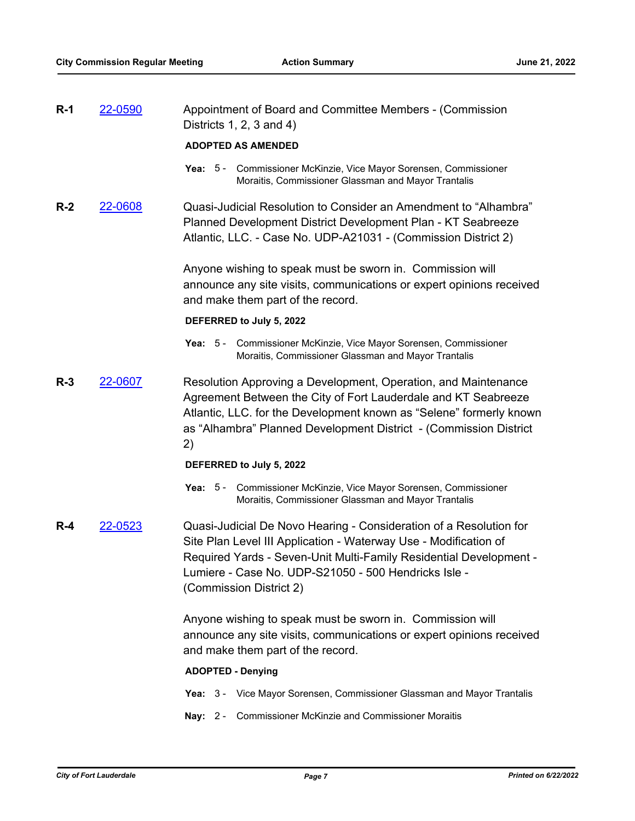| $R-1$ | 22-0590 | Appointment of Board and Committee Members - (Commission<br>Districts $1, 2, 3$ and $4)$                                                                                                                                                                                                        |
|-------|---------|-------------------------------------------------------------------------------------------------------------------------------------------------------------------------------------------------------------------------------------------------------------------------------------------------|
|       |         | <b>ADOPTED AS AMENDED</b>                                                                                                                                                                                                                                                                       |
|       |         | Yea: 5 - Commissioner McKinzie, Vice Mayor Sorensen, Commissioner<br>Moraitis, Commissioner Glassman and Mayor Trantalis                                                                                                                                                                        |
| $R-2$ | 22-0608 | Quasi-Judicial Resolution to Consider an Amendment to "Alhambra"<br>Planned Development District Development Plan - KT Seabreeze<br>Atlantic, LLC. - Case No. UDP-A21031 - (Commission District 2)                                                                                              |
|       |         | Anyone wishing to speak must be sworn in. Commission will<br>announce any site visits, communications or expert opinions received<br>and make them part of the record.                                                                                                                          |
|       |         | DEFERRED to July 5, 2022                                                                                                                                                                                                                                                                        |
|       |         | Commissioner McKinzie, Vice Mayor Sorensen, Commissioner<br>Yea: $5 -$<br>Moraitis, Commissioner Glassman and Mayor Trantalis                                                                                                                                                                   |
| $R-3$ | 22-0607 | Resolution Approving a Development, Operation, and Maintenance<br>Agreement Between the City of Fort Lauderdale and KT Seabreeze<br>Atlantic, LLC. for the Development known as "Selene" formerly known<br>as "Alhambra" Planned Development District - (Commission District<br>2)              |
|       |         | DEFERRED to July 5, 2022                                                                                                                                                                                                                                                                        |
|       |         | Yea: 5 - Commissioner McKinzie, Vice Mayor Sorensen, Commissioner<br>Moraitis, Commissioner Glassman and Mayor Trantalis                                                                                                                                                                        |
| $R-4$ | 22-0523 | Quasi-Judicial De Novo Hearing - Consideration of a Resolution for<br>Site Plan Level III Application - Waterway Use - Modification of<br>Required Yards - Seven-Unit Multi-Family Residential Development -<br>Lumiere - Case No. UDP-S21050 - 500 Hendricks Isle -<br>(Commission District 2) |
|       |         | Anyone wishing to speak must be sworn in. Commission will<br>announce any site visits, communications or expert opinions received<br>and make them part of the record.                                                                                                                          |
|       |         | <b>ADOPTED - Denying</b>                                                                                                                                                                                                                                                                        |
|       |         | Yea: 3 - Vice Mayor Sorensen, Commissioner Glassman and Mayor Trantalis                                                                                                                                                                                                                         |
|       |         | Nay: 2 - Commissioner McKinzie and Commissioner Moraitis                                                                                                                                                                                                                                        |